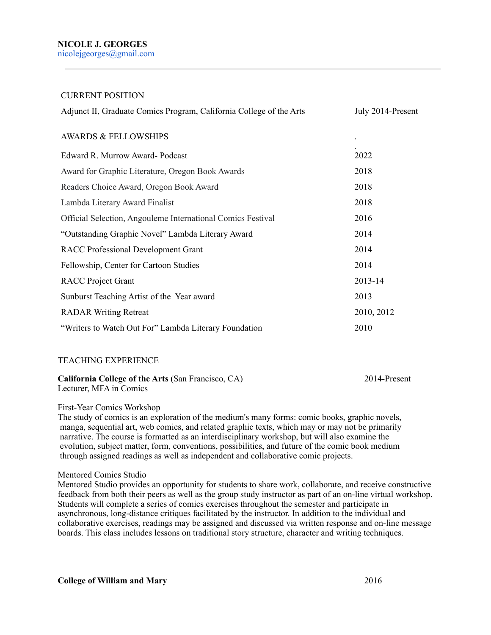#### CURRENT POSITION

| Adjunct II, Graduate Comics Program, California College of the Arts | July 2014-Present |
|---------------------------------------------------------------------|-------------------|
| <b>AWARDS &amp; FELLOWSHIPS</b>                                     |                   |
| Edward R. Murrow Award-Podcast                                      | 2022              |
| Award for Graphic Literature, Oregon Book Awards                    | 2018              |
| Readers Choice Award, Oregon Book Award                             | 2018              |
| Lambda Literary Award Finalist                                      | 2018              |
| Official Selection, Angouleme International Comics Festival         | 2016              |
| "Outstanding Graphic Novel" Lambda Literary Award                   | 2014              |
| <b>RACC Professional Development Grant</b>                          | 2014              |
| Fellowship, Center for Cartoon Studies                              | 2014              |
| <b>RACC</b> Project Grant                                           | 2013-14           |
| Sunburst Teaching Artist of the Year award                          | 2013              |
| <b>RADAR Writing Retreat</b>                                        | 2010, 2012        |
| "Writers to Watch Out For" Lambda Literary Foundation               | 2010              |

### TEACHING EXPERIENCE

#### **California College of the Arts** (San Francisco, CA) 2014-Present Lecturer, MFA in Comics

First-Year Comics Workshop

The study of comics is an exploration of the medium's many forms: comic books, graphic novels, manga, sequential art, web comics, and related graphic texts, which may or may not be primarily narrative. The course is formatted as an interdisciplinary workshop, but will also examine the evolution, subject matter, form, conventions, possibilities, and future of the comic book medium through assigned readings as well as independent and collaborative comic projects.

#### Mentored Comics Studio

Mentored Studio provides an opportunity for students to share work, collaborate, and receive constructive feedback from both their peers as well as the group study instructor as part of an on-line virtual workshop. Students will complete a series of comics exercises throughout the semester and participate in asynchronous, long-distance critiques facilitated by the instructor. In addition to the individual and collaborative exercises, readings may be assigned and discussed via written response and on-line message boards. This class includes lessons on traditional story structure, character and writing techniques.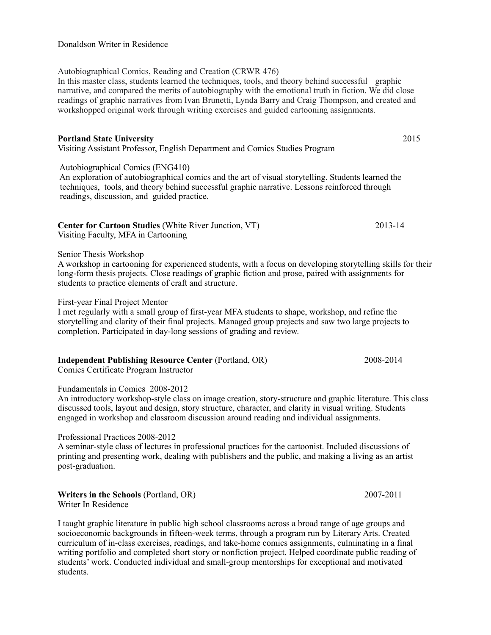## Donaldson Writer in Residence

Autobiographical Comics, Reading and Creation (CRWR 476) In this master class, students learned the techniques, tools, and theory behind successful graphic narrative, and compared the merits of autobiography with the emotional truth in fiction. We did close readings of graphic narratives from Ivan Brunetti, Lynda Barry and Craig Thompson, and created and workshopped original work through writing exercises and guided cartooning assignments.

# **Portland State University** 2015

Visiting Assistant Professor, English Department and Comics Studies Program

Autobiographical Comics (ENG410)

 An exploration of autobiographical comics and the art of visual storytelling. Students learned the techniques, tools, and theory behind successful graphic narrative. Lessons reinforced through readings, discussion, and guided practice.

| <b>Center for Cartoon Studies (White River Junction, VT)</b> | 2013-14 |
|--------------------------------------------------------------|---------|
| Visiting Faculty, MFA in Cartooning                          |         |

Senior Thesis Workshop

A workshop in cartooning for experienced students, with a focus on developing storytelling skills for their long-form thesis projects. Close readings of graphic fiction and prose, paired with assignments for students to practice elements of craft and structure.

## First-year Final Project Mentor

I met regularly with a small group of first-year MFA students to shape, workshop, and refine the storytelling and clarity of their final projects. Managed group projects and saw two large projects to completion. Participated in day-long sessions of grading and review.

| <b>Independent Publishing Resource Center (Portland, OR)</b> | 2008-2014 |
|--------------------------------------------------------------|-----------|
| Comics Certificate Program Instructor                        |           |

## Fundamentals in Comics 2008-2012

An introductory workshop-style class on image creation, story-structure and graphic literature. This class discussed tools, layout and design, story structure, character, and clarity in visual writing. Students engaged in workshop and classroom discussion around reading and individual assignments.

Professional Practices 2008-2012

A seminar-style class of lectures in professional practices for the cartoonist. Included discussions of printing and presenting work, dealing with publishers and the public, and making a living as an artist post-graduation.

**Writers in the Schools** (Portland, OR) 2007-2011 Writer In Residence

I taught graphic literature in public high school classrooms across a broad range of age groups and socioeconomic backgrounds in fifteen-week terms, through a program run by Literary Arts. Created curriculum of in-class exercises, readings, and take-home comics assignments, culminating in a final writing portfolio and completed short story or nonfiction project. Helped coordinate public reading of students' work. Conducted individual and small-group mentorships for exceptional and motivated students.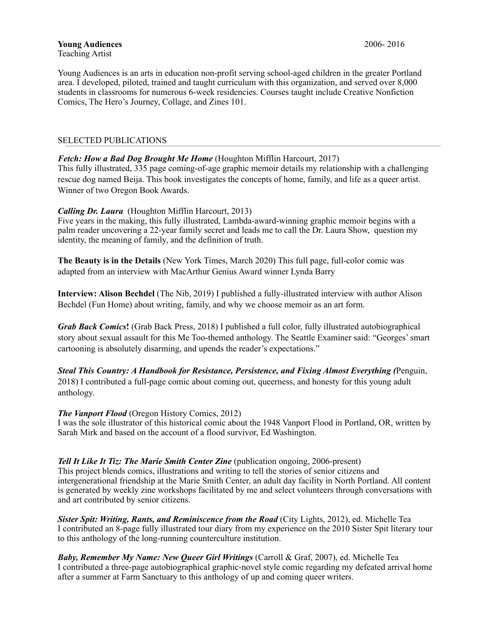Young Audiences is an arts in education non-profit serving school-aged children in the greater Portland area. I developed, piloted, trained and taught curriculum with this organization, and served over 8,000 students in classrooms for numerous 6-week residencies. Courses taught include Creative Nonfiction Comics, The Hero's Journey, Collage, and Zines 101.

### SELECTED PUBLICATIONS

### *Fetch: How a Bad Dog Brought Me Home* (Houghton Mifflin Harcourt, 2017)

This fully illustrated, 335 page coming-of-age graphic memoir details my relationship with a challenging rescue dog named Beija. This book investigates the concepts of home, family, and life as a queer artist. Winner of two Oregon Book Awards.

### *Calling Dr. Laura* (Houghton Mifflin Harcourt, 2013)

Five years in the making, this fully illustrated, Lambda-award-winning graphic memoir begins with a palm reader uncovering a 22-year family secret and leads me to call the Dr. Laura Show, question my identity, the meaning of family, and the definition of truth.

**The Beauty is in the Details** (New York Times, March 2020) This full page, full-color comic was adapted from an interview with MacArthur Genius Award winner Lynda Barry

**Interview: Alison Bechdel** (The Nib, 2019) I published a fully-illustrated interview with author Alison Bechdel (Fun Home) about writing, family, and why we choose memoir as an art form.

*Grab Back Comics***!** (Grab Back Press, 2018) I published a full color, fully illustrated autobiographical story about sexual assault for this Me Too-themed anthology. The Seattle Examiner said: "Georges' smart cartooning is absolutely disarming, and upends the reader's expectations."

*Steal This Country: A Handbook for Resistance, Persistence, and Fixing Almost Everything (*Penguin, 2018) I contributed a full-page comic about coming out, queerness, and honesty for this young adult anthology.

### *The Vanport Flood* (Oregon History Comics, 2012)

I was the sole illustrator of this historical comic about the 1948 Vanport Flood in Portland, OR, written by Sarah Mirk and based on the account of a flood survivor, Ed Washington.

### *Tell It Like It Tiz: The Marie Smith Center Zine* (publication ongoing, 2006-present)

This project blends comics, illustrations and writing to tell the stories of senior citizens and intergenerational friendship at the Marie Smith Center, an adult day facility in North Portland. All content is generated by weekly zine workshops facilitated by me and select volunteers through conversations with and art contributed by senior citizens.

*Sister Spit: Writing, Rants, and Reminiscence from the Road* (City Lights, 2012), ed. Michelle Tea I contributed an 8-page fully illustrated tour diary from my experience on the 2010 Sister Spit literary tour to this anthology of the long-running counterculture institution.

*Baby, Remember My Name: New Queer Girl Writings* (Carroll & Graf, 2007), ed. Michelle Tea I contributed a three-page autobiographical graphic-novel style comic regarding my defeated arrival home after a summer at Farm Sanctuary to this anthology of up and coming queer writers.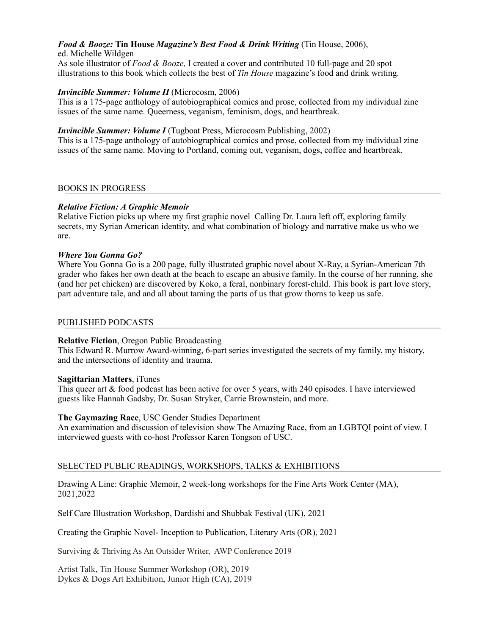# *Food & Booze:* **Tin House** *Magazine's Best Food & Drink Writing* (Tin House, 2006),

ed. Michelle Wildgen

As sole illustrator of *Food & Booze,* I created a cover and contributed 10 full-page and 20 spot illustrations to this book which collects the best of *Tin House* magazine's food and drink writing.

### *Invincible Summer: Volume II* (Microcosm, 2006)

This is a 175-page anthology of autobiographical comics and prose, collected from my individual zine issues of the same name. Queerness, veganism, feminism, dogs, and heartbreak.

### *Invincible Summer: Volume I* (Tugboat Press, Microcosm Publishing, 2002)

This is a 175-page anthology of autobiographical comics and prose, collected from my individual zine issues of the same name. Moving to Portland, coming out, veganism, dogs, coffee and heartbreak.

### BOOKS IN PROGRESS

### *Relative Fiction: A Graphic Memoir*

Relative Fiction picks up where my first graphic novel Calling Dr. Laura left off, exploring family secrets, my Syrian American identity, and what combination of biology and narrative make us who we are.

### *Where You Gonna Go?*

Where You Gonna Go is a 200 page, fully illustrated graphic novel about X-Ray, a Syrian-American 7th grader who fakes her own death at the beach to escape an abusive family. In the course of her running, she (and her pet chicken) are discovered by Koko, a feral, nonbinary forest-child. This book is part love story, part adventure tale, and and all about taming the parts of us that grow thorns to keep us safe.

### PUBLISHED PODCASTS

### **Relative Fiction**, Oregon Public Broadcasting

This Edward R. Murrow Award-winning, 6-part series investigated the secrets of my family, my history, and the intersections of identity and trauma.

### **Sagittarian Matters**, iTunes

This queer art & food podcast has been active for over 5 years, with 240 episodes. I have interviewed guests like Hannah Gadsby, Dr. Susan Stryker, Carrie Brownstein, and more.

### **The Gaymazing Race**, USC Gender Studies Department

An examination and discussion of television show The Amazing Race, from an LGBTQI point of view. I interviewed guests with co-host Professor Karen Tongson of USC.

### SELECTED PUBLIC READINGS, WORKSHOPS, TALKS & EXHIBITIONS

Drawing A Line: Graphic Memoir, 2 week-long workshops for the Fine Arts Work Center (MA), 2021,2022

Self Care Illustration Workshop, Dardishi and Shubbak Festival (UK), 2021

Creating the Graphic Novel- Inception to Publication, Literary Arts (OR), 2021

Surviving & Thriving As An Outsider Writer, AWP Conference 2019

Artist Talk, Tin House Summer Workshop (OR), 2019 Dykes & Dogs Art Exhibition, Junior High (CA), 2019